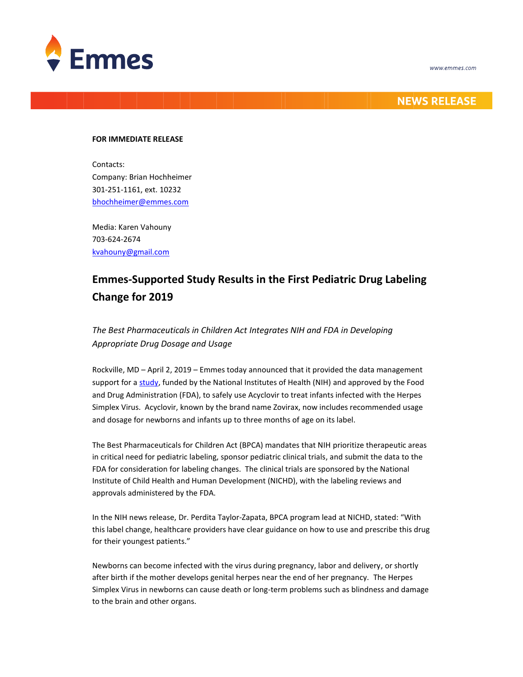



## **NEWS RELEASE**

### **FOR IMMEDIATE RELEASE**

Contacts: Company: Brian Hochheimer 301-251-1161, ext. 10232 [bhochheimer@emmes.com](mailto:bhochheimer@emmes.com)

Media: Karen Vahouny 703-624-2674 [kvahouny@gmail.com](mailto:kvahouny@gmail.com)

# **Emmes-Supported Study Results in the First Pediatric Drug Labeling Change for 2019**

## *The Best Pharmaceuticals in Children Act Integrates NIH and FDA in Developing Appropriate Drug Dosage and Usage*

Rockville, MD – April 2, 2019 – Emmes today announced that it provided the data management support for a [study,](https://www.nih.gov/news-events/news-releases/acyclovir-labeling-now-includes-details-treating-premature-infants-infected-herpes-virus) funded by the National Institutes of Health (NIH) and approved by the Food and Drug Administration (FDA), to safely use Acyclovir to treat infants infected with the Herpes Simplex Virus. Acyclovir, known by the brand name Zovirax, now includes recommended usage and dosage for newborns and infants up to three months of age on its label.

The Best Pharmaceuticals for Children Act (BPCA) mandates that NIH prioritize therapeutic areas in critical need for pediatric labeling, sponsor pediatric clinical trials, and submit the data to the FDA for consideration for labeling changes. The clinical trials are sponsored by the National Institute of Child Health and Human Development (NICHD), with the labeling reviews and approvals administered by the FDA.

In the NIH news release, Dr. Perdita Taylor-Zapata, BPCA program lead at NICHD, stated: "With this label change, healthcare providers have clear guidance on how to use and prescribe this drug for their youngest patients."

Newborns can become infected with the virus during pregnancy, labor and delivery, or shortly after birth if the mother develops genital herpes near the end of her pregnancy. The Herpes Simplex Virus in newborns can cause death or long-term problems such as blindness and damage to the brain and other organs.